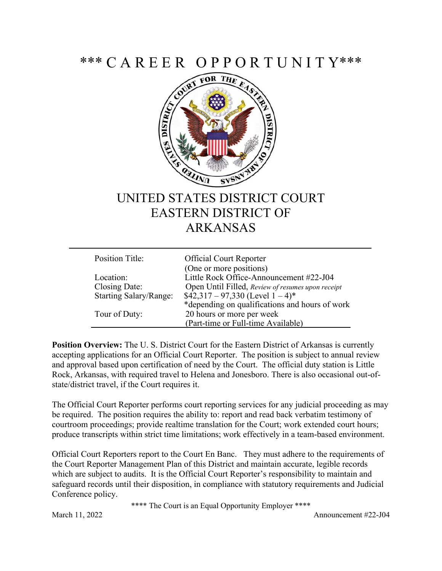\*\*\* C A R E E R O P P O R T U N I T Y\*\*\*



## UNITED STATES DISTRICT COURT EASTERN DISTRICT OF ARKANSAS

| Position Title:        | <b>Official Court Reporter</b>                    |
|------------------------|---------------------------------------------------|
|                        | (One or more positions)                           |
| Location:              | Little Rock Office-Announcement #22-J04           |
| Closing Date:          | Open Until Filled, Review of resumes upon receipt |
| Starting Salary/Range: | $$42,317 - 97,330$ (Level $1 - 4)*$               |
|                        | *depending on qualifications and hours of work    |
| Tour of Duty:          | 20 hours or more per week                         |
|                        | (Part-time or Full-time Available)                |

**Position Overview:** The U. S. District Court for the Eastern District of Arkansas is currently accepting applications for an Official Court Reporter. The position is subject to annual review and approval based upon certification of need by the Court. The official duty station is Little Rock, Arkansas, with required travel to Helena and Jonesboro. There is also occasional out-ofstate/district travel, if the Court requires it.

The Official Court Reporter performs court reporting services for any judicial proceeding as may be required. The position requires the ability to: report and read back verbatim testimony of courtroom proceedings; provide realtime translation for the Court; work extended court hours; produce transcripts within strict time limitations; work effectively in a team-based environment.

Official Court Reporters report to the Court En Banc. They must adhere to the requirements of the Court Reporter Management Plan of this District and maintain accurate, legible records which are subject to audits. It is the Official Court Reporter's responsibility to maintain and safeguard records until their disposition, in compliance with statutory requirements and Judicial Conference policy.

\*\*\*\* The Court is an Equal Opportunity Employer \*\*\*\*